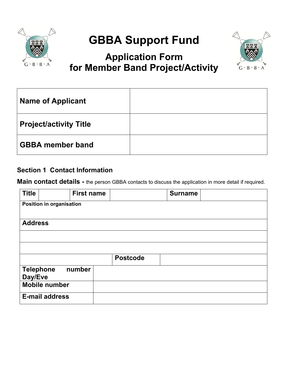

# **GBBA Support Fund**

# **Application Form for Member Band Project/Activity**



| <b>Name of Applicant</b>      |  |
|-------------------------------|--|
| <b>Project/activity Title</b> |  |
| <b>GBBA</b> member band       |  |

#### **Section 1 Contact Information**

**Main contact details -** the person GBBA contacts to discuss the application in more detail if required.

| <b>Title</b>   |                                 | <b>First name</b> |                 | <b>Surname</b> |  |
|----------------|---------------------------------|-------------------|-----------------|----------------|--|
|                | <b>Position in organisation</b> |                   |                 |                |  |
| <b>Address</b> |                                 |                   |                 |                |  |
|                |                                 |                   |                 |                |  |
|                |                                 |                   |                 |                |  |
|                |                                 |                   | <b>Postcode</b> |                |  |
| Day/Eve        | number<br><b>Telephone</b>      |                   |                 |                |  |
|                | <b>Mobile number</b>            |                   |                 |                |  |
|                | <b>E-mail address</b>           |                   |                 |                |  |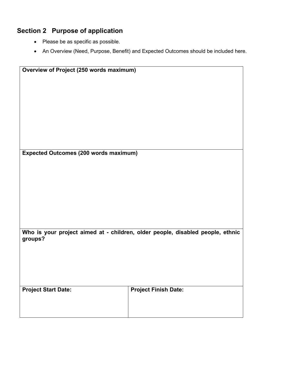## **Section 2 Purpose of application**

- Please be as specific as possible.
- An Overview (Need, Purpose, Benefit) and Expected Outcomes should be included here.

| Overview of Project (250 words maximum)      |                                                                                |
|----------------------------------------------|--------------------------------------------------------------------------------|
|                                              |                                                                                |
|                                              |                                                                                |
|                                              |                                                                                |
|                                              |                                                                                |
|                                              |                                                                                |
|                                              |                                                                                |
|                                              |                                                                                |
|                                              |                                                                                |
|                                              |                                                                                |
|                                              |                                                                                |
|                                              |                                                                                |
|                                              |                                                                                |
|                                              |                                                                                |
| <b>Expected Outcomes (200 words maximum)</b> |                                                                                |
|                                              |                                                                                |
|                                              |                                                                                |
|                                              |                                                                                |
|                                              |                                                                                |
|                                              |                                                                                |
|                                              |                                                                                |
|                                              |                                                                                |
|                                              |                                                                                |
|                                              |                                                                                |
|                                              |                                                                                |
|                                              |                                                                                |
|                                              |                                                                                |
|                                              | Who is your project aimed at - children, older people, disabled people, ethnic |
| groups?                                      |                                                                                |
|                                              |                                                                                |
|                                              |                                                                                |
|                                              |                                                                                |
|                                              |                                                                                |
|                                              |                                                                                |
|                                              |                                                                                |
|                                              |                                                                                |
|                                              |                                                                                |
| <b>Project Start Date:</b>                   | <b>Project Finish Date:</b>                                                    |
|                                              |                                                                                |
|                                              |                                                                                |
|                                              |                                                                                |
|                                              |                                                                                |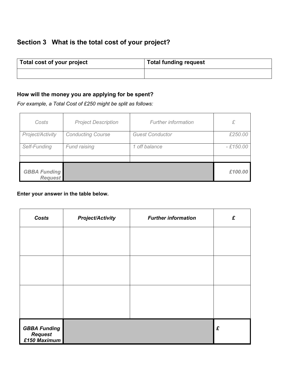### **Section 3 What is the total cost of your project?**

| Total cost of your project | <sup>1</sup> Total funding request |
|----------------------------|------------------------------------|
|                            |                                    |

#### **How will the money you are applying for be spent?**

*For example, a Total Cost of £250 might be split as follows:*

| Costs                                 | <b>Project Description</b> | <b>Further information</b> | £          |
|---------------------------------------|----------------------------|----------------------------|------------|
| Project/Activity                      | <b>Conducting Course</b>   | <b>Guest Conductor</b>     | £250.00    |
| Self-Funding                          | Fund raising               | 1 off balance              | $-£150.00$ |
|                                       |                            |                            |            |
| <b>GBBA Funding</b><br><b>Request</b> |                            |                            | £100.00    |

#### **Enter your answer in the table below.**

| Costs                                                 | <b>Project/Activity</b> | <b>Further information</b> | £ |
|-------------------------------------------------------|-------------------------|----------------------------|---|
|                                                       |                         |                            |   |
|                                                       |                         |                            |   |
|                                                       |                         |                            |   |
|                                                       |                         |                            |   |
|                                                       |                         |                            |   |
|                                                       |                         |                            |   |
| <b>GBBA Funding</b><br><b>Request</b><br>£150 Maximum |                         |                            | £ |